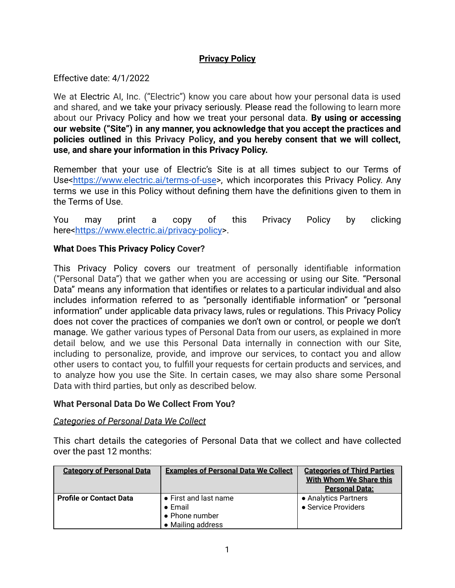## **Privacy Policy**

Effective date: 4/1/2022

We at Electric AI, Inc. ("Electric") know you care about how your personal data is used and shared, and we take your privacy seriously. Please read the following to learn more about our Privacy Policy and how we treat your personal data. **By using or accessing our website ("Site") in any manner, you acknowledge that you accept the practices and policies outlined in this Privacy Policy, and you hereby consent that we will collect, use, and share your information in this Privacy Policy.**

Remember that your use of Electric's Site is at all times subject to our Terms of Use[<https://www.electric.ai/terms-of-use](https://www.electric.ai/terms-of-use)>, which incorporates this Privacy Policy. Any terms we use in this Policy without defining them have the definitions given to them in the Terms of Use.

You may print a copy of this Privacy Policy by clicking here[<https://www.electric.ai/privacy-policy>](https://www.electric.ai/privacy-policy).

# **What Does This Privacy Policy Cover?**

This Privacy Policy covers our treatment of personally identifiable information ("Personal Data") that we gather when you are accessing or using our Site. "Personal Data" means any information that identifies or relates to a particular individual and also includes information referred to as "personally identifiable information" or "personal information" under applicable data privacy laws, rules or regulations. This Privacy Policy does not cover the practices of companies we don't own or control, or people we don't manage. We gather various types of Personal Data from our users, as explained in more detail below, and we use this Personal Data internally in connection with our Site, including to personalize, provide, and improve our services, to contact you and allow other users to contact you, to fulfill your requests for certain products and services, and to analyze how you use the Site. In certain cases, we may also share some Personal Data with third parties, but only as described below.

## **What Personal Data Do We Collect From You?**

## *Categories of Personal Data We Collect*

This chart details the categories of Personal Data that we collect and have collected over the past 12 months:

| <b>Category of Personal Data</b> | <b>Examples of Personal Data We Collect</b> | <b>Categories of Third Parties</b><br><b>With Whom We Share this</b><br><b>Personal Data:</b> |
|----------------------------------|---------------------------------------------|-----------------------------------------------------------------------------------------------|
| <b>Profile or Contact Data</b>   | • First and last name<br>$\bullet$ Email    | • Analytics Partners<br>• Service Providers                                                   |
|                                  | • Phone number<br>• Mailing address         |                                                                                               |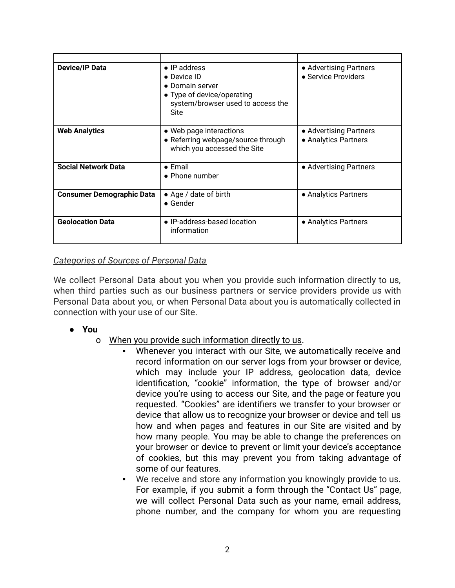| <b>Device/IP Data</b>            | • IP address<br>• Device ID<br>• Domain server<br>• Type of device/operating<br>system/browser used to access the<br>Site | • Advertising Partners<br>• Service Providers  |
|----------------------------------|---------------------------------------------------------------------------------------------------------------------------|------------------------------------------------|
| <b>Web Analytics</b>             | • Web page interactions<br>• Referring webpage/source through<br>which you accessed the Site                              | • Advertising Partners<br>• Analytics Partners |
| <b>Social Network Data</b>       | $\bullet$ Email<br>• Phone number                                                                                         | • Advertising Partners                         |
| <b>Consumer Demographic Data</b> | • Age / date of birth<br>$\bullet$ Gender                                                                                 | • Analytics Partners                           |
| <b>Geolocation Data</b>          | • IP-address-based location<br>information                                                                                | • Analytics Partners                           |

## *Categories of Sources of Personal Data*

We collect Personal Data about you when you provide such information directly to us, when third parties such as our business partners or service providers provide us with Personal Data about you, or when Personal Data about you is automatically collected in connection with your use of our Site.

- **● You**
	- o When you provide such information directly to us.
		- Whenever you interact with our Site, we automatically receive and record information on our server logs from your browser or device, which may include your IP address, geolocation data, device identification, "cookie" information, the type of browser and/or device you're using to access our Site, and the page or feature you requested. "Cookies" are identifiers we transfer to your browser or device that allow us to recognize your browser or device and tell us how and when pages and features in our Site are visited and by how many people. You may be able to change the preferences on your browser or device to prevent or limit your device's acceptance of cookies, but this may prevent you from taking advantage of some of our features.
		- We receive and store any information you knowingly provide to us. For example, if you submit a form through the "Contact Us" page, we will collect Personal Data such as your name, email address, phone number, and the company for whom you are requesting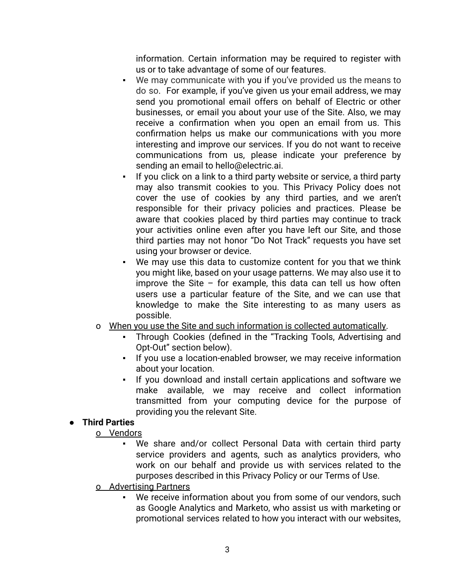information. Certain information may be required to register with us or to take advantage of some of our features.

- We may communicate with you if you've provided us the means to do so. For example, if you've given us your email address, we may send you promotional email offers on behalf of Electric or other businesses, or email you about your use of the Site. Also, we may receive a confirmation when you open an email from us. This confirmation helps us make our communications with you more interesting and improve our services. If you do not want to receive communications from us, please indicate your preference by sending an email to hello@electric.ai.
- If you click on a link to a third party website or service, a third party may also transmit cookies to you. This Privacy Policy does not cover the use of cookies by any third parties, and we aren't responsible for their privacy policies and practices. Please be aware that cookies placed by third parties may continue to track your activities online even after you have left our Site, and those third parties may not honor "Do Not Track" requests you have set using your browser or device.
- We may use this data to customize content for you that we think you might like, based on your usage patterns. We may also use it to improve the Site  $-$  for example, this data can tell us how often users use a particular feature of the Site, and we can use that knowledge to make the Site interesting to as many users as possible.
- o When you use the Site and such information is collected automatically.
	- Through Cookies (defined in the "Tracking Tools, Advertising and Opt-Out" section below).
	- If you use a location-enabled browser, we may receive information about your location.
	- If you download and install certain applications and software we make available, we may receive and collect information transmitted from your computing device for the purpose of providing you the relevant Site.

## **● Third Parties**

o Vendors

- We share and/or collect Personal Data with certain third party service providers and agents, such as analytics providers, who work on our behalf and provide us with services related to the purposes described in this Privacy Policy or our Terms of Use.
- o Advertising Partners
	- We receive information about you from some of our vendors, such as Google Analytics and Marketo, who assist us with marketing or promotional services related to how you interact with our websites,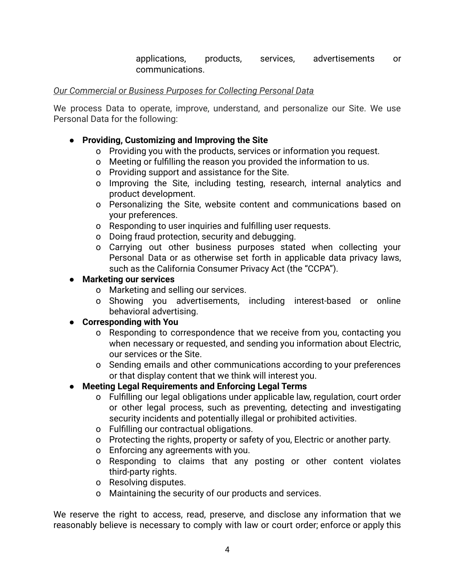applications, products, services, advertisements or communications.

#### *Our Commercial or Business Purposes for Collecting Personal Data*

We process Data to operate, improve, understand, and personalize our Site. We use Personal Data for the following:

#### **● Providing, Customizing and Improving the Site**

- o Providing you with the products, services or information you request.
- o Meeting or fulfilling the reason you provided the information to us.
- o Providing support and assistance for the Site.
- o Improving the Site, including testing, research, internal analytics and product development.
- o Personalizing the Site, website content and communications based on your preferences.
- o Responding to user inquiries and fulfilling user requests.
- o Doing fraud protection, security and debugging.
- o Carrying out other business purposes stated when collecting your Personal Data or as otherwise set forth in applicable data privacy laws, such as the California Consumer Privacy Act (the "CCPA").

#### **● Marketing our services**

- o Marketing and selling our services.
- o Showing you advertisements, including interest-based or online behavioral advertising.

## **● Corresponding with You**

- o Responding to correspondence that we receive from you, contacting you when necessary or requested, and sending you information about Electric, our services or the Site.
- o Sending emails and other communications according to your preferences or that display content that we think will interest you.

## **● Meeting Legal Requirements and Enforcing Legal Terms**

- o Fulfilling our legal obligations under applicable law, regulation, court order or other legal process, such as preventing, detecting and investigating security incidents and potentially illegal or prohibited activities.
- o Fulfilling our contractual obligations.
- o Protecting the rights, property or safety of you, Electric or another party.
- o Enforcing any agreements with you.
- o Responding to claims that any posting or other content violates third-party rights.
- o Resolving disputes.
- o Maintaining the security of our products and services.

We reserve the right to access, read, preserve, and disclose any information that we reasonably believe is necessary to comply with law or court order; enforce or apply this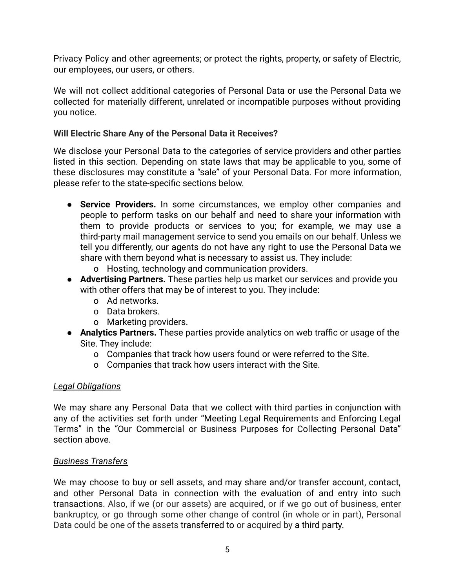Privacy Policy and other agreements; or protect the rights, property, or safety of Electric, our employees, our users, or others.

We will not collect additional categories of Personal Data or use the Personal Data we collected for materially different, unrelated or incompatible purposes without providing you notice.

#### **Will Electric Share Any of the Personal Data it Receives?**

We disclose your Personal Data to the categories of service providers and other parties listed in this section. Depending on state laws that may be applicable to you, some of these disclosures may constitute a "sale" of your Personal Data. For more information, please refer to the state-specific sections below.

- **● Service Providers.** In some circumstances, we employ other companies and people to perform tasks on our behalf and need to share your information with them to provide products or services to you; for example, we may use a third-party mail management service to send you emails on our behalf. Unless we tell you differently, our agents do not have any right to use the Personal Data we share with them beyond what is necessary to assist us. They include:
	- o Hosting, technology and communication providers.
- **● Advertising Partners.** These parties help us market our services and provide you with other offers that may be of interest to you. They include:
	- o Ad networks.
	- o Data brokers.
	- o Marketing providers.
- **Analytics Partners.** These parties provide analytics on web traffic or usage of the Site. They include:
	- o Companies that track how users found or were referred to the Site.
	- o Companies that track how users interact with the Site.

#### *Legal Obligations*

We may share any Personal Data that we collect with third parties in conjunction with any of the activities set forth under "Meeting Legal Requirements and Enforcing Legal Terms" in the "Our Commercial or Business Purposes for Collecting Personal Data" section above.

#### *Business Transfers*

We may choose to buy or sell assets, and may share and/or transfer account, contact, and other Personal Data in connection with the evaluation of and entry into such transactions. Also, if we (or our assets) are acquired, or if we go out of business, enter bankruptcy, or go through some other change of control (in whole or in part), Personal Data could be one of the assets transferred to or acquired by a third party.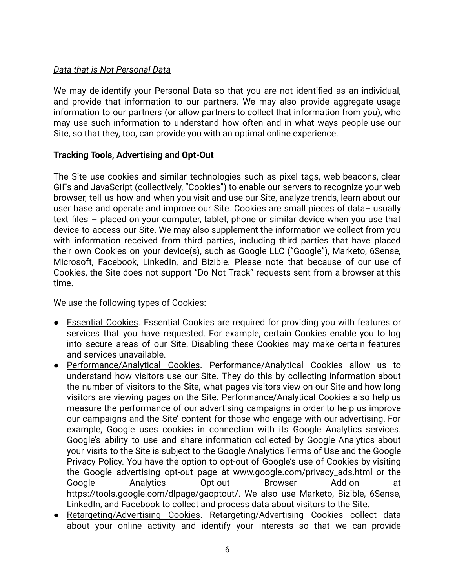# *Data that is Not Personal Data*

We may de-identify your Personal Data so that you are not identified as an individual, and provide that information to our partners. We may also provide aggregate usage information to our partners (or allow partners to collect that information from you), who may use such information to understand how often and in what ways people use our Site, so that they, too, can provide you with an optimal online experience.

## **Tracking Tools, Advertising and Opt-Out**

The Site use cookies and similar technologies such as pixel tags, web beacons, clear GIFs and JavaScript (collectively, "Cookies") to enable our servers to recognize your web browser, tell us how and when you visit and use our Site, analyze trends, learn about our user base and operate and improve our Site. Cookies are small pieces of data– usually text files – placed on your computer, tablet, phone or similar device when you use that device to access our Site. We may also supplement the information we collect from you with information received from third parties, including third parties that have placed their own Cookies on your device(s), such as Google LLC ("Google"), Marketo, 6Sense, Microsoft, Facebook, LinkedIn, and Bizible. Please note that because of our use of Cookies, the Site does not support "Do Not Track" requests sent from a browser at this time.

We use the following types of Cookies:

- Essential Cookies. Essential Cookies are required for providing you with features or services that you have requested. For example, certain Cookies enable you to log into secure areas of our Site. Disabling these Cookies may make certain features and services unavailable.
- Performance/Analytical Cookies. Performance/Analytical Cookies allow us to understand how visitors use our Site. They do this by collecting information about the number of visitors to the Site, what pages visitors view on our Site and how long visitors are viewing pages on the Site. Performance/Analytical Cookies also help us measure the performance of our advertising campaigns in order to help us improve our campaigns and the Site' content for those who engage with our advertising. For example, Google uses cookies in connection with its Google Analytics services. Google's ability to use and share information collected by Google Analytics about your visits to the Site is subject to the Google Analytics Terms of Use and the Google Privacy Policy. You have the option to opt-out of Google's use of Cookies by visiting the Google advertising opt-out page at www.google.com/privacy\_ads.html or the Google Analytics Opt-out Browser Add-on at https://tools.google.com/dlpage/gaoptout/. We also use Marketo, Bizible, 6Sense, LinkedIn, and Facebook to collect and process data about visitors to the Site.
- Retargeting/Advertising Cookies. Retargeting/Advertising Cookies collect data about your online activity and identify your interests so that we can provide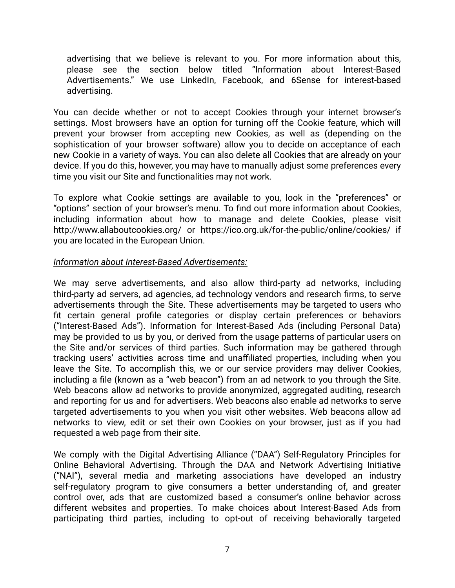advertising that we believe is relevant to you. For more information about this, please see the section below titled "Information about Interest-Based Advertisements." We use LinkedIn, Facebook, and 6Sense for interest-based advertising.

You can decide whether or not to accept Cookies through your internet browser's settings. Most browsers have an option for turning off the Cookie feature, which will prevent your browser from accepting new Cookies, as well as (depending on the sophistication of your browser software) allow you to decide on acceptance of each new Cookie in a variety of ways. You can also delete all Cookies that are already on your device. If you do this, however, you may have to manually adjust some preferences every time you visit our Site and functionalities may not work.

To explore what Cookie settings are available to you, look in the "preferences" or "options" section of your browser's menu. To find out more information about Cookies, including information about how to manage and delete Cookies, please visit <http://www.allaboutcookies.org/> or <https://ico.org.uk/for-the-public/online/cookies/> if you are located in the European Union.

#### *Information about Interest-Based Advertisements:*

We may serve advertisements, and also allow third-party ad networks, including third-party ad servers, ad agencies, ad technology vendors and research firms, to serve advertisements through the Site. These advertisements may be targeted to users who fit certain general profile categories or display certain preferences or behaviors ("Interest-Based Ads"). Information for Interest-Based Ads (including Personal Data) may be provided to us by you, or derived from the usage patterns of particular users on the Site and/or services of third parties. Such information may be gathered through tracking users' activities across time and unaffiliated properties, including when you leave the Site. To accomplish this, we or our service providers may deliver Cookies, including a file (known as a "web beacon") from an ad network to you through the Site. Web beacons allow ad networks to provide anonymized, aggregated auditing, research and reporting for us and for advertisers. Web beacons also enable ad networks to serve targeted advertisements to you when you visit other websites. Web beacons allow ad networks to view, edit or set their own Cookies on your browser, just as if you had requested a web page from their site.

We comply with the Digital Advertising Alliance ("DAA") Self-Regulatory Principles for Online Behavioral Advertising. Through the DAA and Network Advertising Initiative ("NAI"), several media and marketing associations have developed an industry self-regulatory program to give consumers a better understanding of, and greater control over, ads that are customized based a consumer's online behavior across different websites and properties. To make choices about Interest-Based Ads from participating third parties, including to opt-out of receiving behaviorally targeted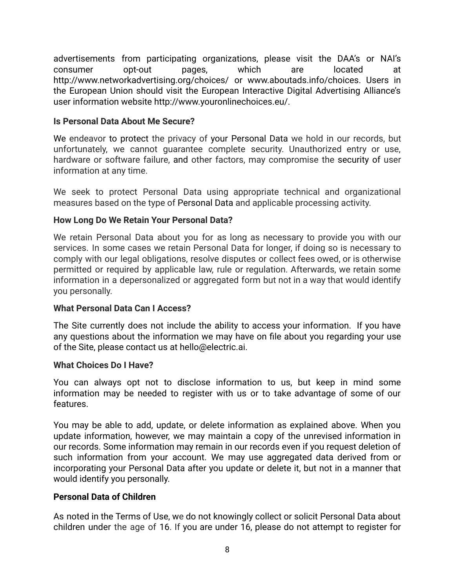advertisements from participating organizations, please visit the DAA's or NAI's consumer opt-out pages, which are located at <http://www.networkadvertising.org/choices/> or [www.aboutads.info/choices.](http://www.aboutads.info/choices) Users in the European Union should visit the European Interactive Digital Advertising Alliance's user information website [http://www.youronlinechoices.eu/.](http://www.youronlinechoices.eu/)

## **Is Personal Data About Me Secure?**

We endeavor to protect the privacy of your Personal Data we hold in our records, but unfortunately, we cannot guarantee complete security. Unauthorized entry or use, hardware or software failure, and other factors, may compromise the security of user information at any time.

We seek to protect Personal Data using appropriate technical and organizational measures based on the type of Personal Data and applicable processing activity.

# **How Long Do We Retain Your Personal Data?**

We retain Personal Data about you for as long as necessary to provide you with our services. In some cases we retain Personal Data for longer, if doing so is necessary to comply with our legal obligations, resolve disputes or collect fees owed, or is otherwise permitted or required by applicable law, rule or regulation. Afterwards, we retain some information in a depersonalized or aggregated form but not in a way that would identify you personally.

# **What Personal Data Can I Access?**

The Site currently does not include the ability to access your information. If you have any questions about the information we may have on file about you regarding your use of the Site, please contact us at hello@electric.ai.

## **What Choices Do I Have?**

You can always opt not to disclose information to us, but keep in mind some information may be needed to register with us or to take advantage of some of our features.

You may be able to add, update, or delete information as explained above. When you update information, however, we may maintain a copy of the unrevised information in our records. Some information may remain in our records even if you request deletion of such information from your account. We may use aggregated data derived from or incorporating your Personal Data after you update or delete it, but not in a manner that would identify you personally.

## **Personal Data of Children**

As noted in the Terms of Use, we do not knowingly collect or solicit Personal Data about children under the age of 16. If you are under 16, please do not attempt to register for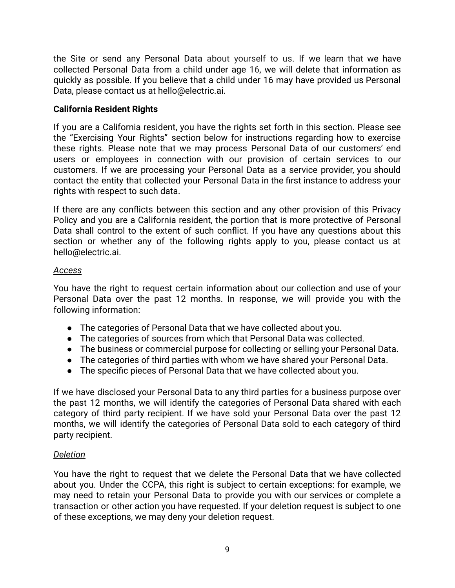the Site or send any Personal Data about yourself to us. If we learn that we have collected Personal Data from a child under age 16, we will delete that information as quickly as possible. If you believe that a child under 16 may have provided us Personal Data, please contact us at hello@electric.ai.

# **California Resident Rights**

If you are a California resident, you have the rights set forth in this section. Please see the "Exercising Your Rights" section below for instructions regarding how to exercise these rights. Please note that we may process Personal Data of our customers' end users or employees in connection with our provision of certain services to our customers. If we are processing your Personal Data as a service provider, you should contact the entity that collected your Personal Data in the first instance to address your rights with respect to such data.

If there are any conflicts between this section and any other provision of this Privacy Policy and you are a California resident, the portion that is more protective of Personal Data shall control to the extent of such conflict. If you have any questions about this section or whether any of the following rights apply to you, please contact us at hello@electric.ai.

## *Access*

You have the right to request certain information about our collection and use of your Personal Data over the past 12 months. In response, we will provide you with the following information:

- The categories of Personal Data that we have collected about you.
- The categories of sources from which that Personal Data was collected.
- The business or commercial purpose for collecting or selling your Personal Data.
- The categories of third parties with whom we have shared your Personal Data.
- The specific pieces of Personal Data that we have collected about you.

If we have disclosed your Personal Data to any third parties for a business purpose over the past 12 months, we will identify the categories of Personal Data shared with each category of third party recipient. If we have sold your Personal Data over the past 12 months, we will identify the categories of Personal Data sold to each category of third party recipient.

# *Deletion*

You have the right to request that we delete the Personal Data that we have collected about you. Under the CCPA, this right is subject to certain exceptions: for example, we may need to retain your Personal Data to provide you with our services or complete a transaction or other action you have requested. If your deletion request is subject to one of these exceptions, we may deny your deletion request.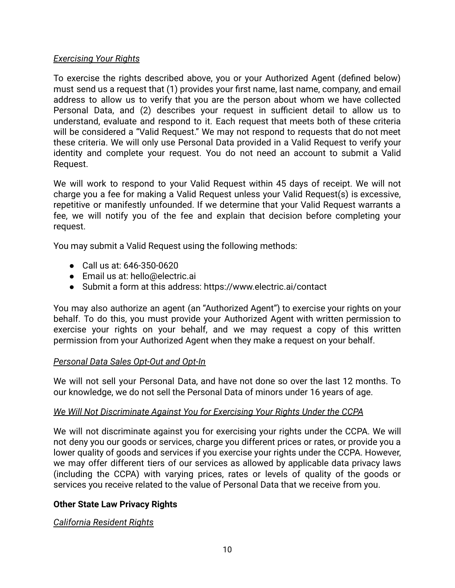### *Exercising Your Rights*

To exercise the rights described above, you or your Authorized Agent (defined below) must send us a request that (1) provides your first name, last name, company, and email address to allow us to verify that you are the person about whom we have collected Personal Data, and (2) describes your request in sufficient detail to allow us to understand, evaluate and respond to it. Each request that meets both of these criteria will be considered a "Valid Request." We may not respond to requests that do not meet these criteria. We will only use Personal Data provided in a Valid Request to verify your identity and complete your request. You do not need an account to submit a Valid Request.

We will work to respond to your Valid Request within 45 days of receipt. We will not charge you a fee for making a Valid Request unless your Valid Request(s) is excessive, repetitive or manifestly unfounded. If we determine that your Valid Request warrants a fee, we will notify you of the fee and explain that decision before completing your request.

You may submit a Valid Request using the following methods:

- Call us at: 646-350-0620
- Email us at: hello@electric.ai
- Submit a form at this address: https://www.electric.ai/contact

You may also authorize an agent (an "Authorized Agent") to exercise your rights on your behalf. To do this, you must provide your Authorized Agent with written permission to exercise your rights on your behalf, and we may request a copy of this written permission from your Authorized Agent when they make a request on your behalf.

## *Personal Data Sales Opt-Out and Opt-In*

We will not sell your Personal Data, and have not done so over the last 12 months. To our knowledge, we do not sell the Personal Data of minors under 16 years of age.

## *We Will Not Discriminate Against You for Exercising Your Rights Under the CCPA*

We will not discriminate against you for exercising your rights under the CCPA. We will not deny you our goods or services, charge you different prices or rates, or provide you a lower quality of goods and services if you exercise your rights under the CCPA. However, we may offer different tiers of our services as allowed by applicable data privacy laws (including the CCPA) with varying prices, rates or levels of quality of the goods or services you receive related to the value of Personal Data that we receive from you.

## **Other State Law Privacy Rights**

*California Resident Rights*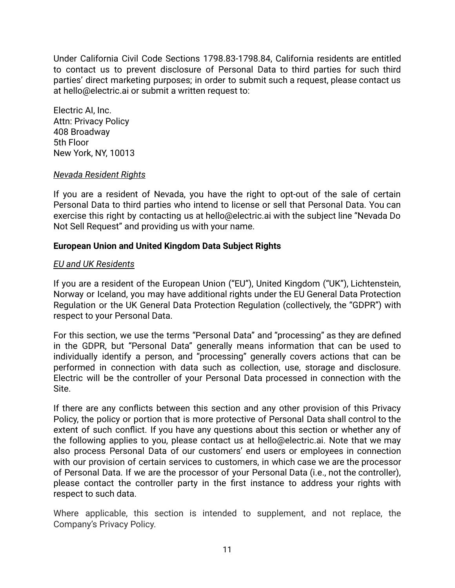Under California Civil Code Sections 1798.83-1798.84, California residents are entitled to contact us to prevent disclosure of Personal Data to third parties for such third parties' direct marketing purposes; in order to submit such a request, please contact us at hello@electric.ai or submit a written request to:

Electric AI, Inc. Attn: Privacy Policy 408 Broadway 5th Floor New York, NY, 10013

#### *Nevada Resident Rights*

If you are a resident of Nevada, you have the right to opt-out of the sale of certain Personal Data to third parties who intend to license or sell that Personal Data. You can exercise this right by contacting us at hello@electric.ai with the subject line "Nevada Do Not Sell Request" and providing us with your name.

## **European Union and United Kingdom Data Subject Rights**

## *EU and UK Residents*

If you are a resident of the European Union ("EU"), United Kingdom ("UK"), Lichtenstein, Norway or Iceland, you may have additional rights under the EU General Data Protection Regulation or the UK General Data Protection Regulation (collectively, the "GDPR") with respect to your Personal Data.

For this section, we use the terms "Personal Data" and "processing" as they are defined in the GDPR, but "Personal Data" generally means information that can be used to individually identify a person, and "processing" generally covers actions that can be performed in connection with data such as collection, use, storage and disclosure. Electric will be the controller of your Personal Data processed in connection with the Site.

If there are any conflicts between this section and any other provision of this Privacy Policy, the policy or portion that is more protective of Personal Data shall control to the extent of such conflict. If you have any questions about this section or whether any of the following applies to you, please contact us at hello@electric.ai. Note that we may also process Personal Data of our customers' end users or employees in connection with our provision of certain services to customers, in which case we are the processor of Personal Data. If we are the processor of your Personal Data (i.e., not the controller), please contact the controller party in the first instance to address your rights with respect to such data.

Where applicable, this section is intended to supplement, and not replace, the Company's Privacy Policy.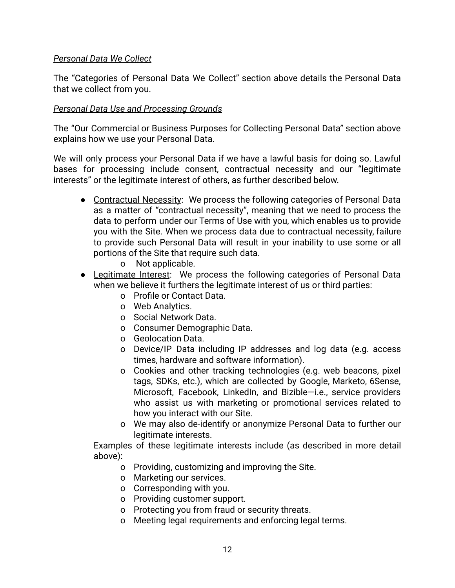## *Personal Data We Collect*

The "Categories of Personal Data We Collect" section above details the Personal Data that we collect from you.

## *Personal Data Use and Processing Grounds*

The "Our Commercial or Business Purposes for Collecting Personal Data" section above explains how we use your Personal Data.

We will only process your Personal Data if we have a lawful basis for doing so. Lawful bases for processing include consent, contractual necessity and our "legitimate interests" or the legitimate interest of others, as further described below.

- Contractual Necessity: We process the following categories of Personal Data as a matter of "contractual necessity", meaning that we need to process the data to perform under our Terms of Use with you, which enables us to provide you with the Site. When we process data due to contractual necessity, failure to provide such Personal Data will result in your inability to use some or all portions of the Site that require such data.
	- o Not applicable.
- Legitimate Interest: We process the following categories of Personal Data when we believe it furthers the legitimate interest of us or third parties:
	- o Profile or Contact Data.
	- o Web Analytics.
	- o Social Network Data.
	- o Consumer Demographic Data.
	- o Geolocation Data.
	- o Device/IP Data including IP addresses and log data (e.g. access times, hardware and software information).
	- o Cookies and other tracking technologies (e.g. web beacons, pixel tags, SDKs, etc.), which are collected by Google, Marketo, 6Sense, Microsoft, Facebook, LinkedIn, and Bizible—i.e., service providers who assist us with marketing or promotional services related to how you interact with our Site.
	- o We may also de-identify or anonymize Personal Data to further our legitimate interests.

Examples of these legitimate interests include (as described in more detail above):

- o Providing, customizing and improving the Site.
- o Marketing our services.
- o Corresponding with you.
- o Providing customer support.
- o Protecting you from fraud or security threats.
- o Meeting legal requirements and enforcing legal terms.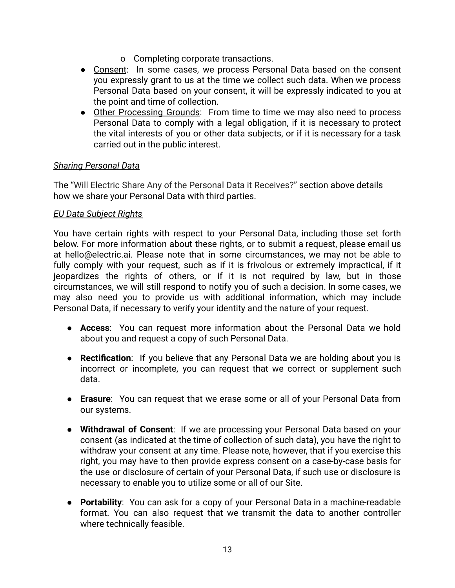- o Completing corporate transactions.
- Consent: In some cases, we process Personal Data based on the consent you expressly grant to us at the time we collect such data. When we process Personal Data based on your consent, it will be expressly indicated to you at the point and time of collection.
- Other Processing Grounds: From time to time we may also need to process Personal Data to comply with a legal obligation, if it is necessary to protect the vital interests of you or other data subjects, or if it is necessary for a task carried out in the public interest.

#### *Sharing Personal Data*

The "Will Electric Share Any of the Personal Data it Receives?" section above details how we share your Personal Data with third parties.

#### *EU Data Subject Rights*

You have certain rights with respect to your Personal Data, including those set forth below. For more information about these rights, or to submit a request, please email us at hello@electric.ai. Please note that in some circumstances, we may not be able to fully comply with your request, such as if it is frivolous or extremely impractical, if it jeopardizes the rights of others, or if it is not required by law, but in those circumstances, we will still respond to notify you of such a decision. In some cases, we may also need you to provide us with additional information, which may include Personal Data, if necessary to verify your identity and the nature of your request.

- **Access**: You can request more information about the Personal Data we hold about you and request a copy of such Personal Data.
- **Rectification**: If you believe that any Personal Data we are holding about you is incorrect or incomplete, you can request that we correct or supplement such data.
- **Erasure**: You can request that we erase some or all of your Personal Data from our systems.
- **Withdrawal of Consent**: If we are processing your Personal Data based on your consent (as indicated at the time of collection of such data), you have the right to withdraw your consent at any time. Please note, however, that if you exercise this right, you may have to then provide express consent on a case-by-case basis for the use or disclosure of certain of your Personal Data, if such use or disclosure is necessary to enable you to utilize some or all of our Site.
- **Portability**: You can ask for a copy of your Personal Data in a machine-readable format. You can also request that we transmit the data to another controller where technically feasible.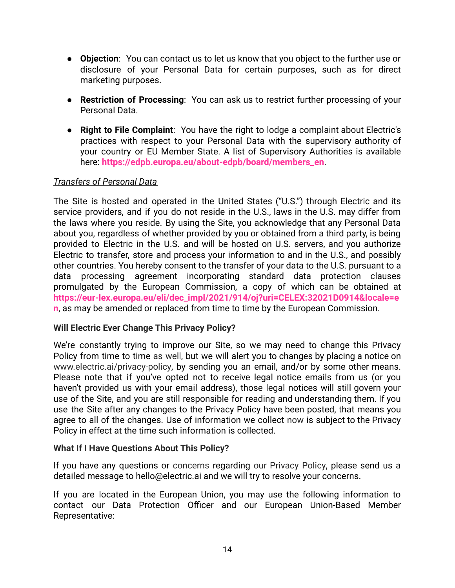- **Objection**: You can contact us to let us know that you object to the further use or disclosure of your Personal Data for certain purposes, such as for direct marketing purposes.
- **Restriction of Processing**: You can ask us to restrict further processing of your Personal Data.
- **Right to File Complaint**: You have the right to lodge a complaint about Electric's practices with respect to your Personal Data with the supervisory authority of your country or EU Member State. A list of Supervisory Authorities is available here: **[https://edpb.europa.eu/about-edpb/board/members\\_en](https://edpb.europa.eu/about-edpb/board/members_en)**.

## *Transfers of Personal Data*

The Site is hosted and operated in the United States ("U.S.") through Electric and its service providers, and if you do not reside in the U.S., laws in the U.S. may differ from the laws where you reside. By using the Site, you acknowledge that any Personal Data about you, regardless of whether provided by you or obtained from a third party, is being provided to Electric in the U.S. and will be hosted on U.S. servers, and you authorize Electric to transfer, store and process your information to and in the U.S., and possibly other countries. You hereby consent to the transfer of your data to the U.S. pursuant to a data processing agreement incorporating standard data protection clauses promulgated by the European Commission, a copy of which can be obtained at **[https://eur-lex.europa.eu/eli/dec\\_impl/2021/914/oj?uri=CELEX:32021D0914&locale=e](https://eur-lex.europa.eu/eli/dec_impl/2021/914/oj?uri=CELEX:32021D0914&locale=en) [n](https://eur-lex.europa.eu/eli/dec_impl/2021/914/oj?uri=CELEX:32021D0914&locale=en)**, as may be amended or replaced from time to time by the European Commission.

## **Will Electric Ever Change This Privacy Policy?**

We're constantly trying to improve our Site, so we may need to change this Privacy Policy from time to time as well, but we will alert you to changes by placing a notice on www.electric.ai/privacy-policy, by sending you an email, and/or by some other means. Please note that if you've opted not to receive legal notice emails from us (or you haven't provided us with your email address), those legal notices will still govern your use of the Site, and you are still responsible for reading and understanding them. If you use the Site after any changes to the Privacy Policy have been posted, that means you agree to all of the changes. Use of information we collect now is subject to the Privacy Policy in effect at the time such information is collected.

## **What If I Have Questions About This Policy?**

If you have any questions or concerns regarding our Privacy Policy, please send us a detailed message to hello@electric.ai and we will try to resolve your concerns.

If you are located in the European Union, you may use the following information to contact our Data Protection Officer and our European Union-Based Member Representative: